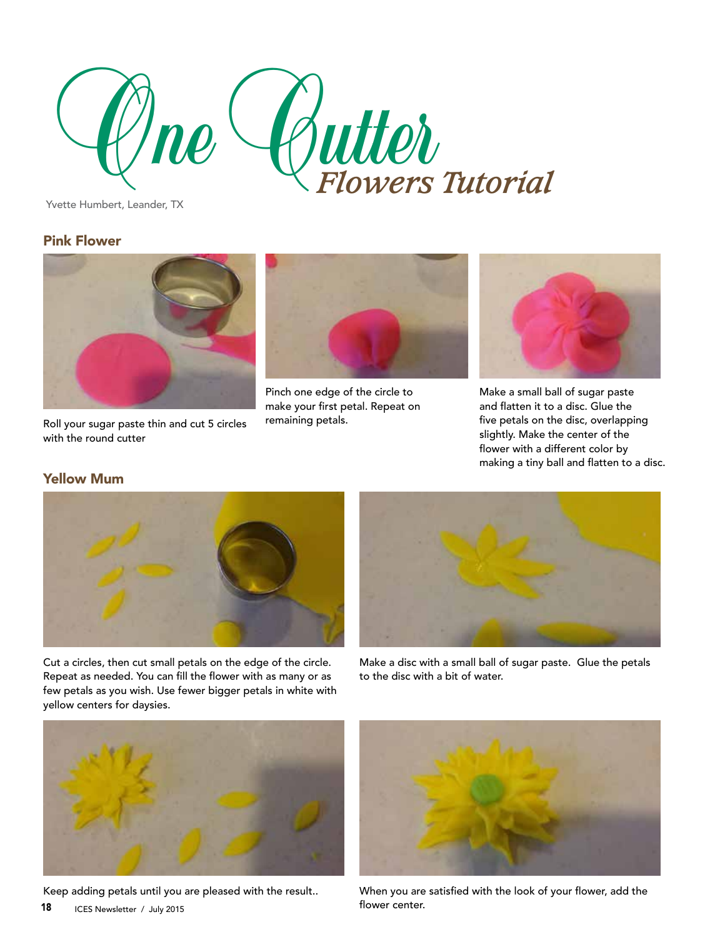

Yvette Humbert, Leander, TX

## Pink Flower



Roll your sugar paste thin and cut 5 circles with the round cutter



Pinch one edge of the circle to make your first petal. Repeat on remaining petals.



Make a small ball of sugar paste and flatten it to a disc. Glue the five petals on the disc, overlapping slightly. Make the center of the flower with a different color by making a tiny ball and flatten to a disc.

## Yellow Mum





Cut a circles, then cut small petals on the edge of the circle. Repeat as needed. You can fill the flower with as many or as few petals as you wish. Use fewer bigger petals in white with yellow centers for daysies.

Make a disc with a small ball of sugar paste. Glue the petals to the disc with a bit of water.



Keep adding petals until you are pleased with the result..



When you are satisfied with the look of your flower, add the flower center.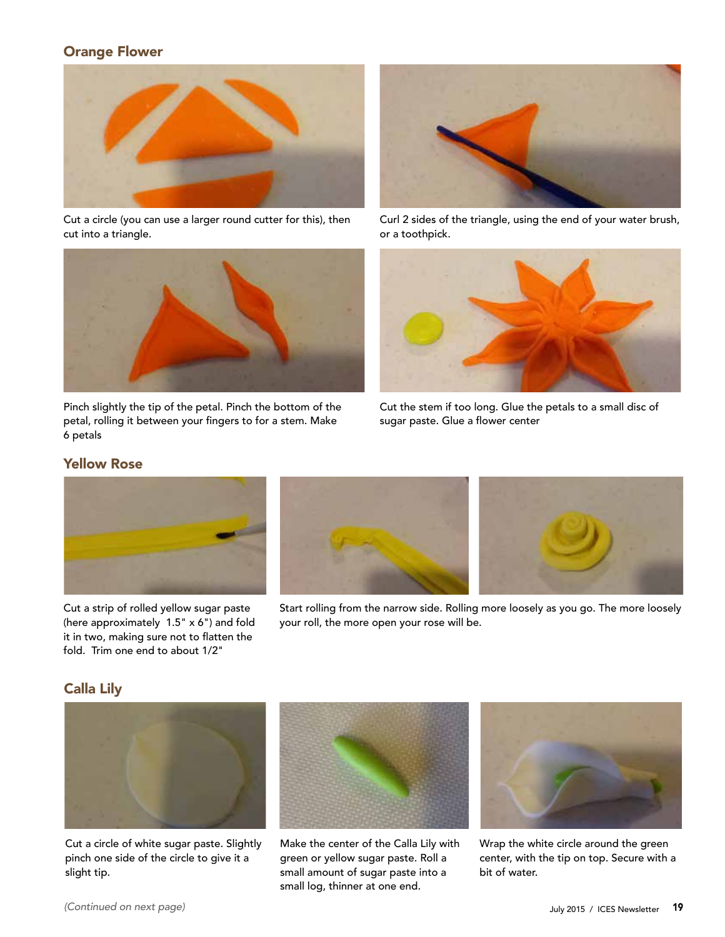## Orange Flower



Cut a circle (you can use a larger round cutter for this), then cut into a triangle.



Pinch slightly the tip of the petal. Pinch the bottom of the petal, rolling it between your fingers to for a stem. Make 6 petals



Curl 2 sides of the triangle, using the end of your water brush, or a toothpick.



Cut the stem if too long. Glue the petals to a small disc of sugar paste. Glue a flower center

## Yellow Rose



Cut a strip of rolled yellow sugar paste (here approximately 1.5" x 6") and fold it in two, making sure not to flatten the fold. Trim one end to about 1/2"





Start rolling from the narrow side. Rolling more loosely as you go. The more loosely your roll, the more open your rose will be.

## Calla Lily



Cut a circle of white sugar paste. Slightly pinch one side of the circle to give it a slight tip.



Make the center of the Calla Lily with green or yellow sugar paste. Roll a small amount of sugar paste into a small log, thinner at one end.



Wrap the white circle around the green center, with the tip on top. Secure with a bit of water.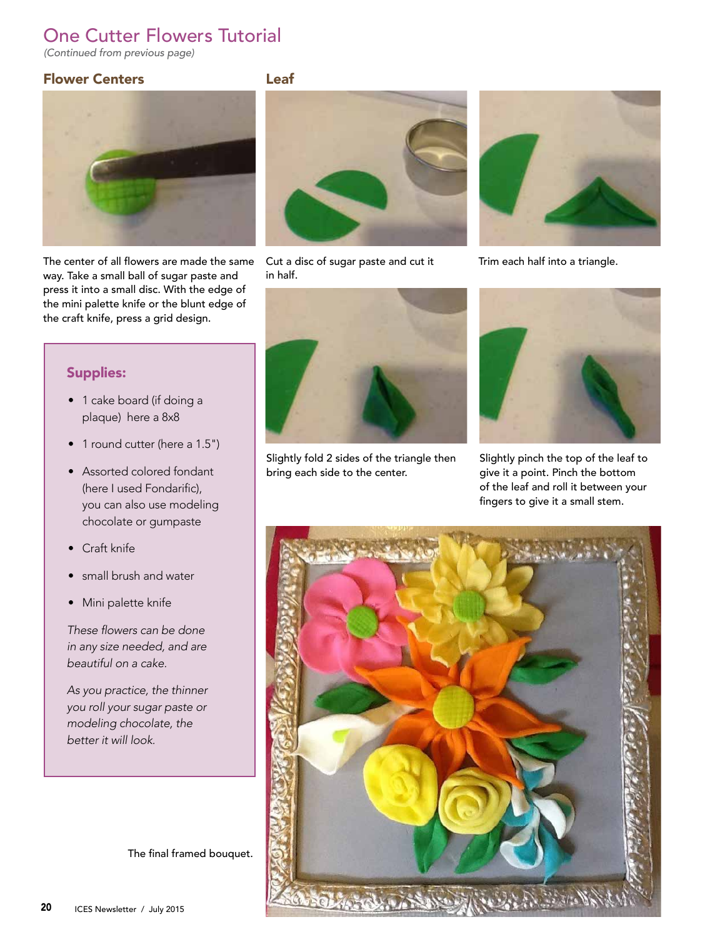# One Cutter Flowers Tutorial

*(Continued from previous page)*

## Flower Centers **Leaf**





The center of all flowers are made the same Cut a disc of sugar paste and cut it way. Take a small ball of sugar paste and press it into a small disc. With the edge of the mini palette knife or the blunt edge of the craft knife, press a grid design.

## Supplies:

- 1 cake board (if doing a plaque) here a 8x8
- 1 round cutter (here a 1.5")
- Assorted colored fondant (here I used Fondarific), you can also use modeling chocolate or gumpaste
- Craft knife
- small brush and water
- Mini palette knife

These flowers can be done in any size needed, and are beautiful on a cake.

As you practice, the thinner you roll your sugar paste or modeling chocolate, the better it will look.

The final framed bouquet.



in half.



Slightly fold 2 sides of the triangle then bring each side to the center.



Trim each half into a triangle.



Slightly pinch the top of the leaf to give it a point. Pinch the bottom of the leaf and roll it between your fingers to give it a small stem.